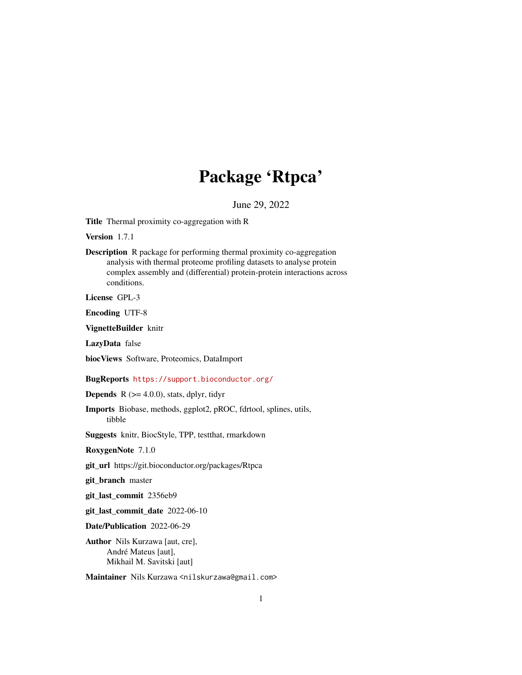# Package 'Rtpca'

June 29, 2022

Title Thermal proximity co-aggregation with R

Version 1.7.1

Description R package for performing thermal proximity co-aggregation analysis with thermal proteome profiling datasets to analyse protein complex assembly and (differential) protein-protein interactions across conditions.

License GPL-3

Encoding UTF-8

VignetteBuilder knitr

LazyData false

biocViews Software, Proteomics, DataImport

BugReports <https://support.bioconductor.org/>

**Depends** R  $(>= 4.0.0)$ , stats, dplyr, tidyr

Imports Biobase, methods, ggplot2, pROC, fdrtool, splines, utils, tibble

Suggests knitr, BiocStyle, TPP, testthat, rmarkdown

RoxygenNote 7.1.0

git\_url https://git.bioconductor.org/packages/Rtpca

git\_branch master

git\_last\_commit 2356eb9

git\_last\_commit\_date 2022-06-10

Date/Publication 2022-06-29

Author Nils Kurzawa [aut, cre], André Mateus [aut], Mikhail M. Savitski [aut]

Maintainer Nils Kurzawa <nilskurzawa@gmail.com>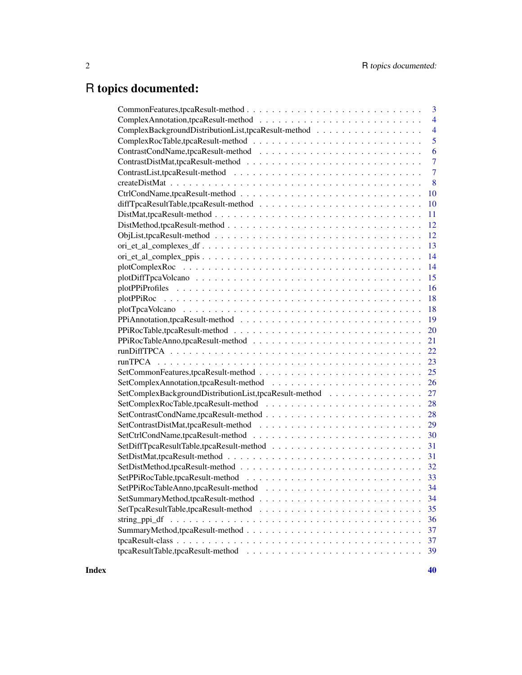# R topics documented:

| $\overline{3}$                                                        |
|-----------------------------------------------------------------------|
| $\overline{4}$                                                        |
| ComplexBackgroundDistributionList,tpcaResult-method<br>$\overline{4}$ |
| 5                                                                     |
| 6                                                                     |
| $\overline{7}$                                                        |
| $\overline{7}$                                                        |
| 8                                                                     |
| 10                                                                    |
| 10                                                                    |
| 11                                                                    |
| 12                                                                    |
| 12                                                                    |
| 13                                                                    |
| 14                                                                    |
| 14                                                                    |
| 15                                                                    |
| 16                                                                    |
| 18                                                                    |
| 18                                                                    |
| 19                                                                    |
|                                                                       |
|                                                                       |
|                                                                       |
|                                                                       |
|                                                                       |
|                                                                       |
| SetComplexBackgroundDistributionList,tpcaResult-method 27             |
|                                                                       |
|                                                                       |
|                                                                       |
|                                                                       |
|                                                                       |
| 31                                                                    |
|                                                                       |
|                                                                       |
|                                                                       |
| 34                                                                    |
| 35                                                                    |
| 36                                                                    |
| 37                                                                    |
| 37                                                                    |
| 39                                                                    |
|                                                                       |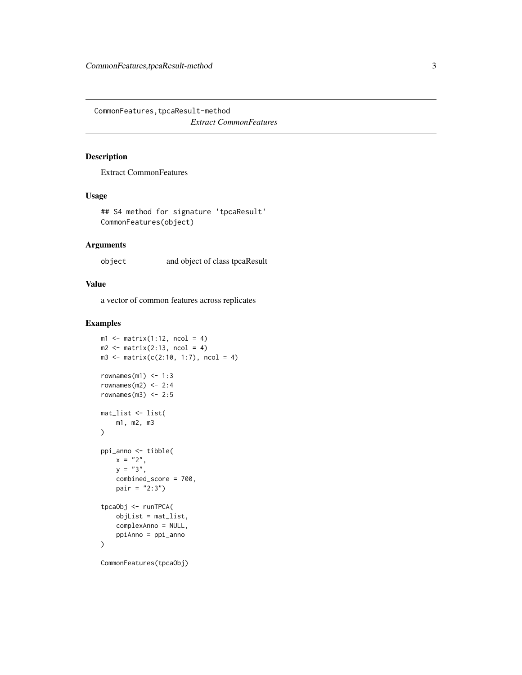<span id="page-2-0"></span>CommonFeatures,tpcaResult-method *Extract CommonFeatures*

### Description

Extract CommonFeatures

### Usage

```
## S4 method for signature 'tpcaResult'
CommonFeatures(object)
```
### Arguments

object and object of class tpcaResult

# Value

a vector of common features across replicates

```
ml \leq matrix(1:12, ncol = 4)m2 \leq -\text{matrix}(2:13, \text{ ncol} = 4)m3 \le - matrix(c(2:10, 1:7), ncol = 4)
rownames(m1) <-1:3rownames(m2) <-2:4rownames(m3) <-2:5mat_list <- list(
    m1, m2, m3
)
ppi_anno <- tibble(
    x = "2",y = "3",combined_score = 700,
    pair = "2:3")tpcaObj <- runTPCA(
    objList = mat_list,
    complexAnno = NULL,
    ppiAnno = ppi_anno
\mathcal{L}
```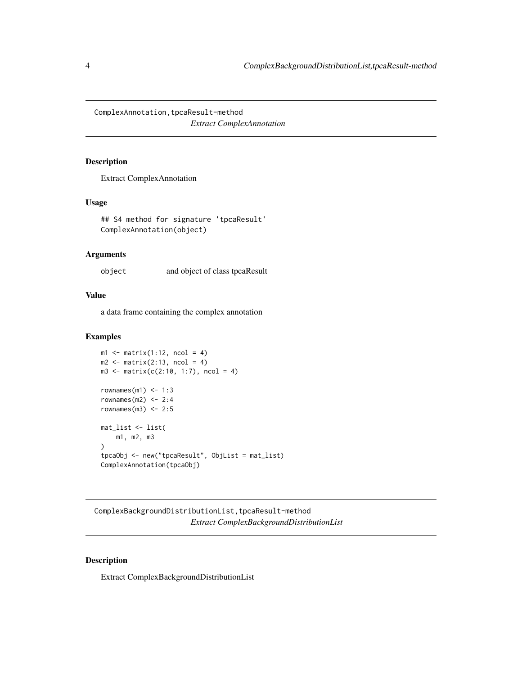<span id="page-3-0"></span>ComplexAnnotation, tpcaResult-method *Extract ComplexAnnotation*

### Description

Extract ComplexAnnotation

# Usage

```
## S4 method for signature 'tpcaResult'
ComplexAnnotation(object)
```
# Arguments

object and object of class tpcaResult

# Value

a data frame containing the complex annotation

## Examples

```
ml \leftarrow matrix(1:12, ncol = 4)m2 \leq - matrix(2:13, ncol = 4)
m3 \le - matrix(c(2:10, 1:7), ncol = 4)
rownames(m1) <-1:3rownames(m2) <-2:4rownames(m3) <-2:5mat_list <- list(
    m1, m2, m3
\mathcal{L}tpcaObj <- new("tpcaResult", ObjList = mat_list)
ComplexAnnotation(tpcaObj)
```
ComplexBackgroundDistributionList,tpcaResult-method *Extract ComplexBackgroundDistributionList*

### Description

Extract ComplexBackgroundDistributionList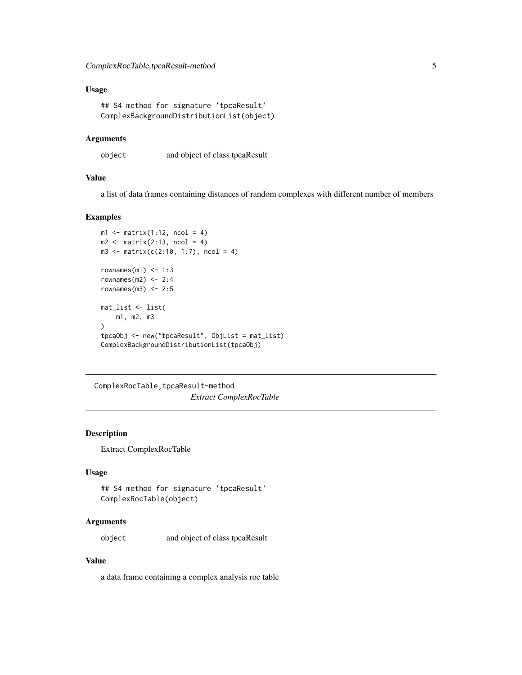# <span id="page-4-0"></span>Usage

```
## S4 method for signature 'tpcaResult'
ComplexBackgroundDistributionList(object)
```
#### Arguments

object and object of class tpcaResult

### Value

a list of data frames containing distances of random complexes with different number of members

#### Examples

```
ml \leftarrow matrix(1:12, ncol = 4)m2 \leq -\text{matrix}(2:13, \text{ ncol} = 4)m3 \le - matrix(c(2:10, 1:7), ncol = 4)
rownames(m1) <-1:3rownames(m2) <-2:4rownames(m3) <-2:5mat_list <- list(
    m1, m2, m3
\lambdatpcaObj <- new("tpcaResult", ObjList = mat_list)
ComplexBackgroundDistributionList(tpcaObj)
```
ComplexRocTable,tpcaResult-method *Extract ComplexRocTable*

### Description

Extract ComplexRocTable

### Usage

```
## S4 method for signature 'tpcaResult'
ComplexRocTable(object)
```
### Arguments

object and object of class tpcaResult

### Value

a data frame containing a complex analysis roc table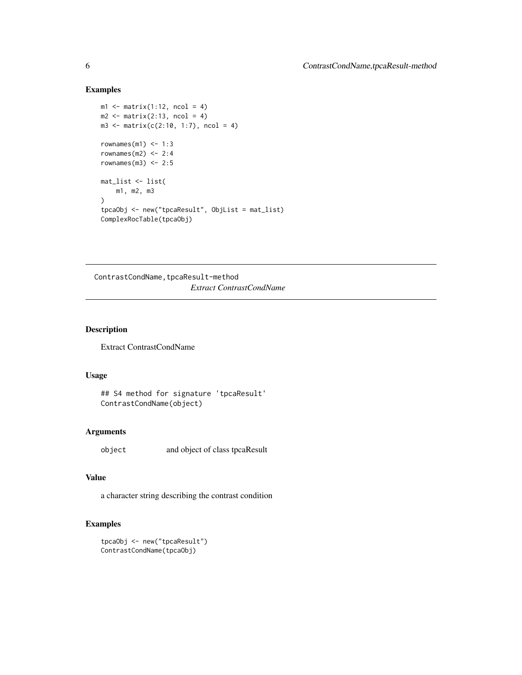# Examples

```
ml \leq matrix(1:12, ncol = 4)m2 \leq -\text{matrix}(2:13, \text{ ncol} = 4)m3 \le - matrix(c(2:10, 1:7), ncol = 4)
rownames(m1) <-1:3rownames(m2) <-2:4rownames(m3) <-2:5mat_list <- list(
    m1, m2, m3
\lambdatpcaObj <- new("tpcaResult", ObjList = mat_list)
ComplexRocTable(tpcaObj)
```
ContrastCondName, tpcaResult-method *Extract ContrastCondName*

# Description

Extract ContrastCondName

# Usage

## S4 method for signature 'tpcaResult' ContrastCondName(object)

# Arguments

object and object of class tpcaResult

# Value

a character string describing the contrast condition

```
tpcaObj <- new("tpcaResult")
ContrastCondName(tpcaObj)
```
<span id="page-5-0"></span>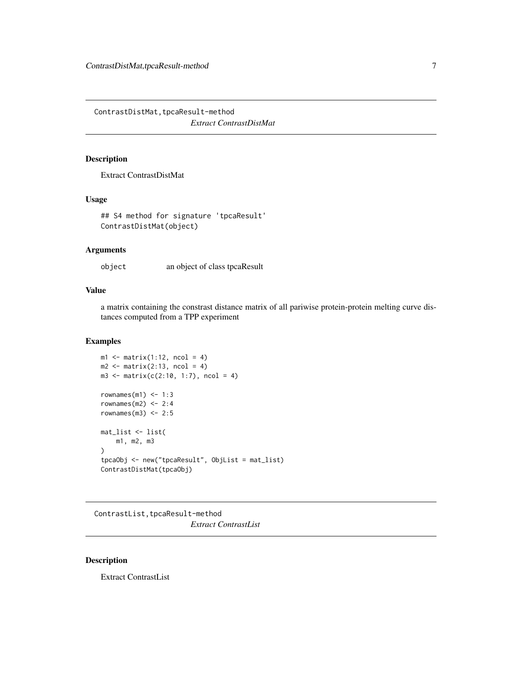<span id="page-6-0"></span>ContrastDistMat, tpcaResult-method *Extract ContrastDistMat*

# Description

Extract ContrastDistMat

### Usage

```
## S4 method for signature 'tpcaResult'
ContrastDistMat(object)
```
# Arguments

object an object of class tpcaResult

# Value

a matrix containing the constrast distance matrix of all pariwise protein-protein melting curve distances computed from a TPP experiment

### Examples

```
ml \leftarrow matrix(1:12, ncol = 4)m2 \leq -\text{matrix}(2:13, \text{ ncol} = 4)m3 \le - matrix(c(2:10, 1:7), ncol = 4)
rownames(m1) <-1:3rownames(m2) <-2:4rownames(m3) <-2:5mat_list <- list(
    m1, m2, m3
)
tpcaObj <- new("tpcaResult", ObjList = mat_list)
ContrastDistMat(tpcaObj)
```
ContrastList, tpcaResult-method *Extract ContrastList*

### Description

Extract ContrastList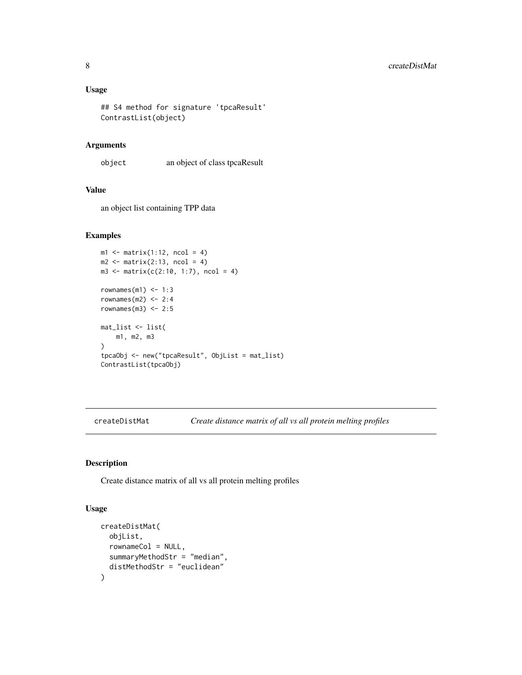### <span id="page-7-0"></span>Usage

```
## S4 method for signature 'tpcaResult'
ContrastList(object)
```
# Arguments

object an object of class tpcaResult

# Value

an object list containing TPP data

#### Examples

```
ml \leftarrow matrix(1:12, ncol = 4)m2 \le matrix(2:13, ncol = 4)
m3 \le - matrix(c(2:10, 1:7), ncol = 4)
rownames(m1) <-1:3rownames(m2) <-2:4rownames(m3) <-2:5mat_list <- list(
    m1, m2, m3
)
tpcaObj <- new("tpcaResult", ObjList = mat_list)
ContrastList(tpcaObj)
```
createDistMat *Create distance matrix of all vs all protein melting profiles*

# Description

Create distance matrix of all vs all protein melting profiles

### Usage

```
createDistMat(
 objList,
  rownameCol = NULL,
  summaryMethodStr = "median",
  distMethodStr = "euclidean"
)
```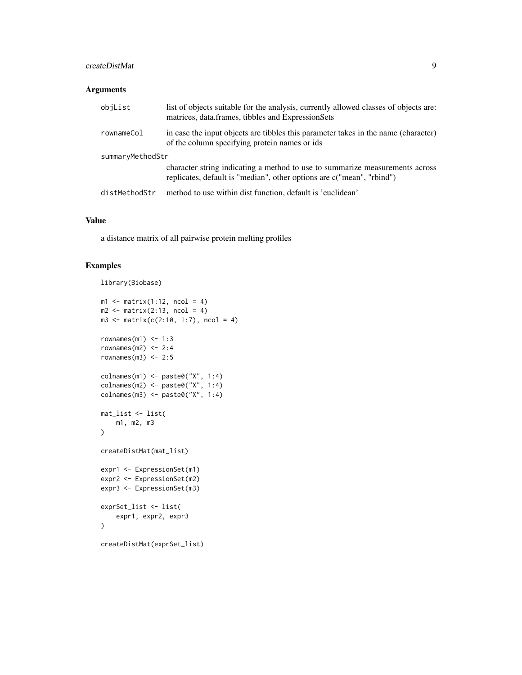# createDistMat 9

### Arguments

| objList          | list of objects suitable for the analysis, currently allowed classes of objects are:<br>matrices, data.frames, tibbles and ExpressionSets             |
|------------------|-------------------------------------------------------------------------------------------------------------------------------------------------------|
| rownameCol       | in case the input objects are tibbles this parameter takes in the name (character)<br>of the column specifying protein names or ids                   |
| summaryMethodStr |                                                                                                                                                       |
|                  | character string indicating a method to use to summarize measurements across<br>replicates, default is "median", other options are c("mean", "rbind") |
| distMethodStr    | method to use within dist function, default is 'euclidean'                                                                                            |

### Value

a distance matrix of all pairwise protein melting profiles

```
library(Biobase)
```

```
ml \leftarrow matrix(1:12, ncol = 4)m2 \leq -\text{matrix}(2:13, \text{ ncol} = 4)m3 \le - matrix(c(2:10, 1:7), ncol = 4)
rownames(m1) <-1:3rownames(m2) <-2:4rownames(m3) <-2:5colnames(m1) <- paste0("X", 1:4)
colnames(m2) <- paste0("X", 1:4)
\text{colnames}(m3) \leq \text{past} \Theta("X", 1:4)mat_list <- list(
    m1, m2, m3
\mathcal{L}createDistMat(mat_list)
expr1 <- ExpressionSet(m1)
expr2 <- ExpressionSet(m2)
expr3 <- ExpressionSet(m3)
exprSet_list <- list(
    expr1, expr2, expr3
\mathcal{L}createDistMat(exprSet_list)
```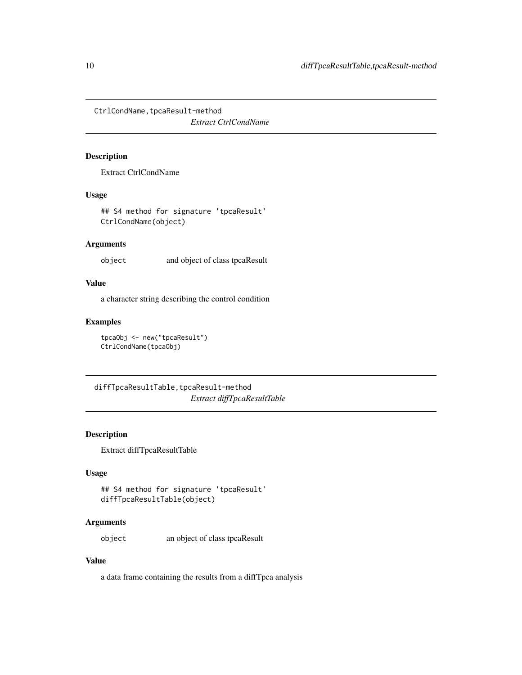<span id="page-9-0"></span>CtrlCondName, tpcaResult-method

*Extract CtrlCondName*

# Description

Extract CtrlCondName

### Usage

## S4 method for signature 'tpcaResult' CtrlCondName(object)

# Arguments

object and object of class tpcaResult

### Value

a character string describing the control condition

### Examples

tpcaObj <- new("tpcaResult") CtrlCondName(tpcaObj)

diffTpcaResultTable, tpcaResult-method *Extract diffTpcaResultTable*

# Description

Extract diffTpcaResultTable

# Usage

```
## S4 method for signature 'tpcaResult'
diffTpcaResultTable(object)
```
# Arguments

object an object of class tpcaResult

### Value

a data frame containing the results from a diffTpca analysis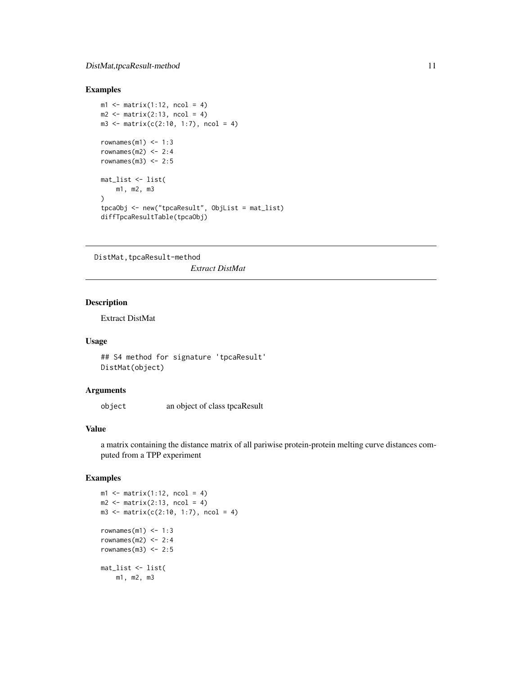### <span id="page-10-0"></span>Examples

```
m1 \leq -\text{matrix}(1:12, \text{ncol} = 4)m2 \leq -\text{matrix}(2:13, \text{ncol} = 4)m3 \le - matrix(c(2:10, 1:7), ncol = 4)
rownames(m1) <-1:3rownames(m2) <-2:4rownames(m3) <-2:5mat_list <- list(
    m1, m2, m3
)
tpcaObj <- new("tpcaResult", ObjList = mat_list)
diffTpcaResultTable(tpcaObj)
```
DistMat, tpcaResult-method *Extract DistMat*

### Description

Extract DistMat

# Usage

## S4 method for signature 'tpcaResult' DistMat(object)

### Arguments

object an object of class tpcaResult

### Value

a matrix containing the distance matrix of all pariwise protein-protein melting curve distances computed from a TPP experiment

```
ml \leftarrow matrix(1:12, ncol = 4)m2 \leq -\text{matrix}(2:13, \text{ ncol} = 4)m3 \le - matrix(c(2:10, 1:7), ncol = 4)
rownames(m1) <-1:3rownames(m2) <-2:4rownames(m3) <-2:5mat_list <- list(
    m1, m2, m3
```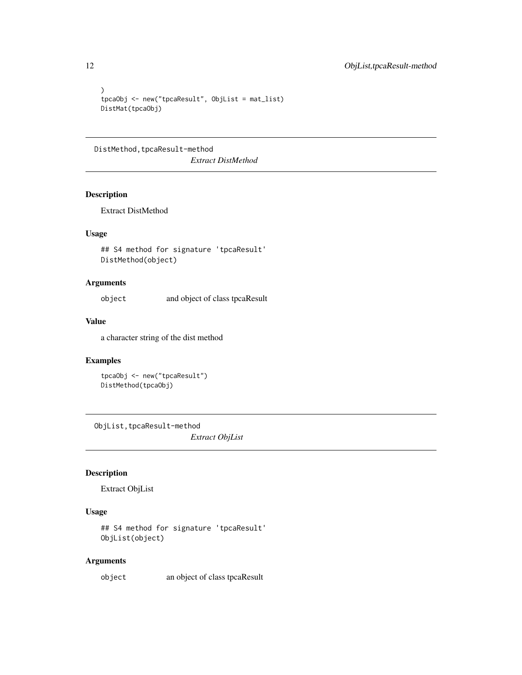```
\mathcal{L}tpcaObj <- new("tpcaResult", ObjList = mat_list)
DistMat(tpcaObj)
```
DistMethod, tpcaResult-method

*Extract DistMethod*

# Description

Extract DistMethod

# Usage

## S4 method for signature 'tpcaResult' DistMethod(object)

# Arguments

object and object of class tpcaResult

# Value

a character string of the dist method

# Examples

tpcaObj <- new("tpcaResult") DistMethod(tpcaObj)

ObjList,tpcaResult-method *Extract ObjList*

# Description

Extract ObjList

# Usage

```
## S4 method for signature 'tpcaResult'
ObjList(object)
```
# Arguments

object an object of class tpcaResult

<span id="page-11-0"></span>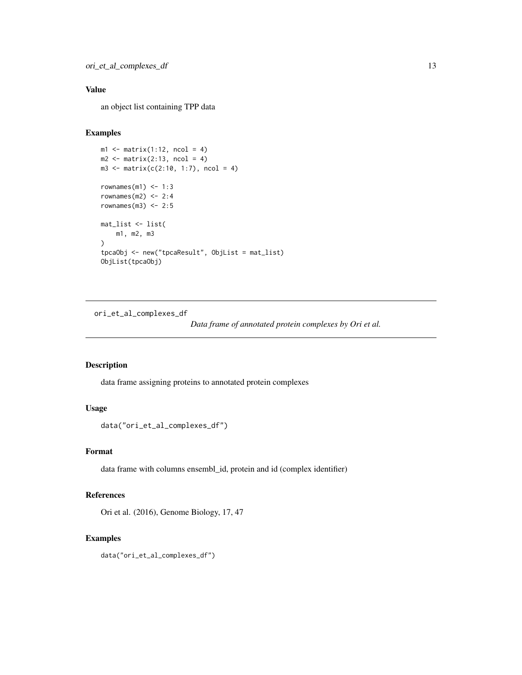# <span id="page-12-0"></span>Value

an object list containing TPP data

### Examples

```
ml \leftarrow matrix(1:12, ncol = 4)m2 \le matrix(2:13, ncol = 4)
m3 \le - matrix(c(2:10, 1:7), ncol = 4)
rownames(m1) <-1:3rownames(m2) <-2:4rownames(m3) <-2:5mat_list <- list(
   m1, m2, m3
)
tpcaObj <- new("tpcaResult", ObjList = mat_list)
ObjList(tpcaObj)
```
ori\_et\_al\_complexes\_df

*Data frame of annotated protein complexes by Ori et al.*

# Description

data frame assigning proteins to annotated protein complexes

# Usage

```
data("ori_et_al_complexes_df")
```
### Format

data frame with columns ensembl\_id, protein and id (complex identifier)

#### References

Ori et al. (2016), Genome Biology, 17, 47

# Examples

data("ori\_et\_al\_complexes\_df")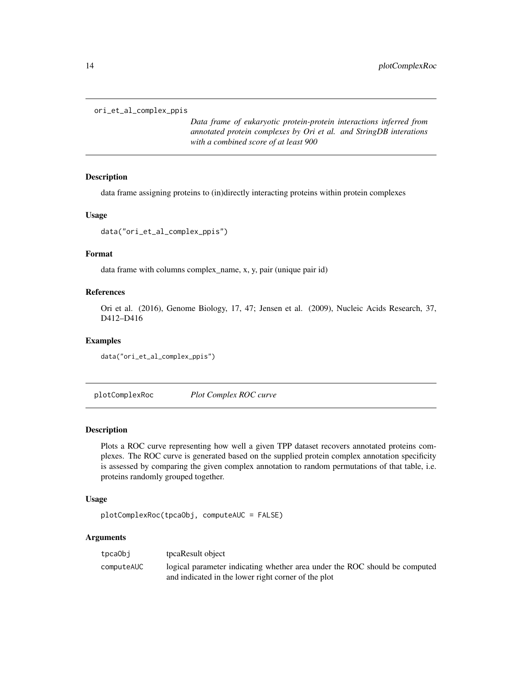```
ori_et_al_complex_ppis
```
*Data frame of eukaryotic protein-protein interactions inferred from annotated protein complexes by Ori et al. and StringDB interations with a combined score of at least 900*

#### Description

data frame assigning proteins to (in)directly interacting proteins within protein complexes

#### Usage

```
data("ori_et_al_complex_ppis")
```
#### Format

data frame with columns complex\_name, x, y, pair (unique pair id)

#### References

Ori et al. (2016), Genome Biology, 17, 47; Jensen et al. (2009), Nucleic Acids Research, 37, D412–D416

#### Examples

data("ori\_et\_al\_complex\_ppis")

plotComplexRoc *Plot Complex ROC curve*

#### Description

Plots a ROC curve representing how well a given TPP dataset recovers annotated proteins complexes. The ROC curve is generated based on the supplied protein complex annotation specificity is assessed by comparing the given complex annotation to random permutations of that table, i.e. proteins randomly grouped together.

### Usage

```
plotComplexRoc(tpcaObj, computeAUC = FALSE)
```
#### Arguments

| tpcaObj    | tpcaResult object                                                          |
|------------|----------------------------------------------------------------------------|
| computeAUC | logical parameter indicating whether area under the ROC should be computed |
|            | and indicated in the lower right corner of the plot                        |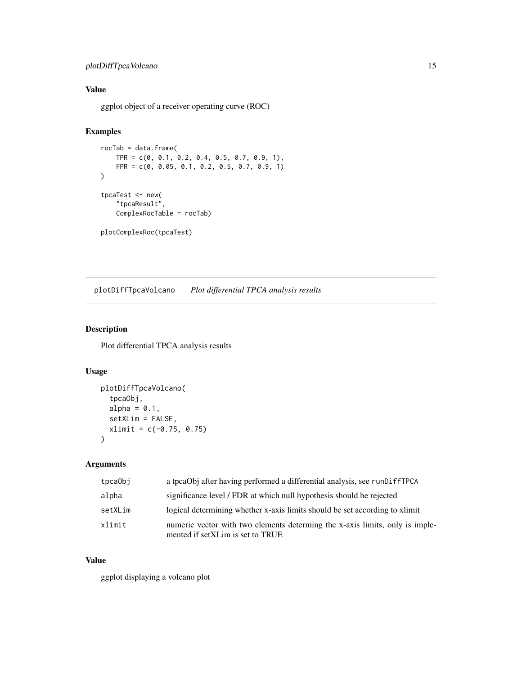# <span id="page-14-0"></span>plotDiffTpcaVolcano 15

# Value

ggplot object of a receiver operating curve (ROC)

# Examples

```
rocTab = data.frame(
    TPR = c(0, 0.1, 0.2, 0.4, 0.5, 0.7, 0.9, 1),
    FPR = c(0, 0.05, 0.1, 0.2, 0.5, 0.7, 0.9, 1)
\mathcal{L}tpcaTest <- new(
    "tpcaResult",
    ComplexRocTable = rocTab)
plotComplexRoc(tpcaTest)
```
plotDiffTpcaVolcano *Plot differential TPCA analysis results*

# Description

Plot differential TPCA analysis results

### Usage

```
plotDiffTpcaVolcano(
  tpcaObj,
 alpha = 0.1,
  setXLim = FALSE,
 xlimit = c(-0.75, 0.75))
```
# Arguments

| tpca0bj | a tpcaObj after having performed a differential analysis, see runDiffTPCA                                        |
|---------|------------------------------------------------------------------------------------------------------------------|
| alpha   | significance level / FDR at which null hypothesis should be rejected                                             |
| setXLim | logical determining whether x-axis limits should be set according to x limit                                     |
| xlimit  | numeric vector with two elements determing the x-axis limits, only is imple-<br>mented if setXLim is set to TRUE |

### Value

ggplot displaying a volcano plot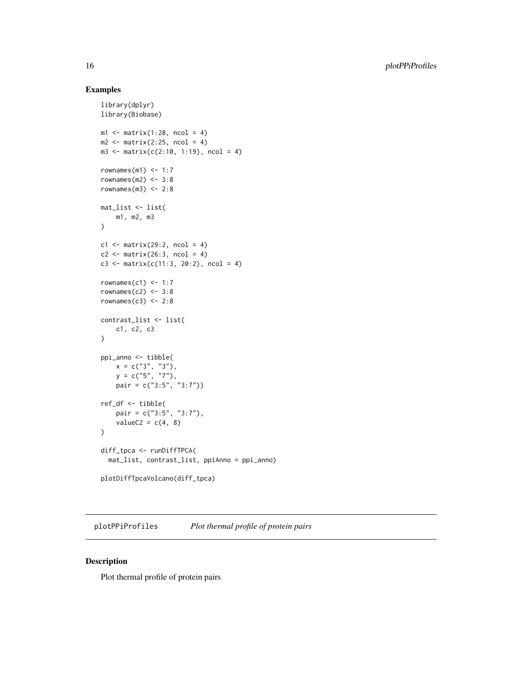### Examples

```
library(dplyr)
library(Biobase)
ml \leftarrow matrix(1:28, ncol = 4)m2 \leq -\text{matrix}(2:25, \text{ ncol} = 4)m3 \le matrix(c(2:10, 1:19), ncol = 4)
rownames(m1) <-1:7rownames(m2) <-3:8rownames(m3) <-2:8mat_list <- list(
    m1, m2, m3
\lambdac1 \leq - matrix(29:2, ncol = 4)
c2 \leq - matrix(26:3, ncol = 4)
c3 <- matrix(c(11:3, 20:2), ncol = 4)
rownames(c1) <-1:7rownames(c2) <-3:8rownames(c3) <-2:8contrast_list <- list(
    c1, c2, c3
\lambdappi_anno <- tibble(
   x = c("3", "3"),y = c("5", "7"),
    pair = c("3:5", "3:7"))
ref_df <- tibble(
    pair = c("3:5", "3:7"),
    valueC2 = c(4, 8))
diff_tpca <- runDiffTPCA(
  mat_list, contrast_list, ppiAnno = ppi_anno)
plotDiffTpcaVolcano(diff_tpca)
```
plotPPiProfiles *Plot thermal profile of protein pairs*

### Description

Plot thermal profile of protein pairs

<span id="page-15-0"></span>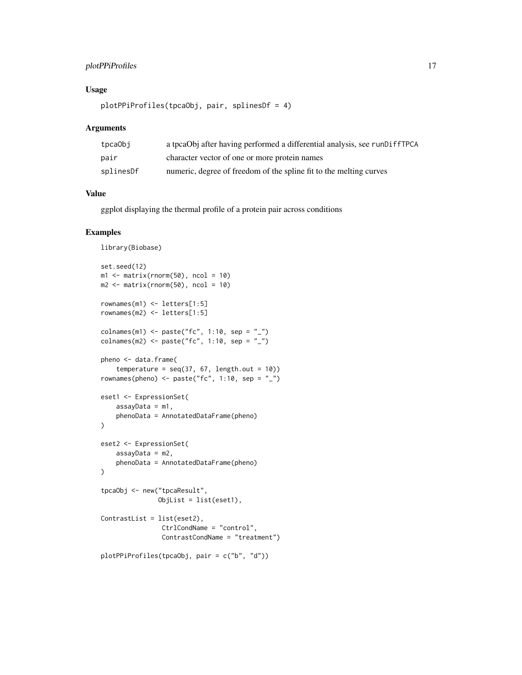# plotPPiProfiles 17

# Usage

```
plotPPiProfiles(tpcaObj, pair, splinesDf = 4)
```
### Arguments

| tpcaObj   | a tpcaObj after having performed a differential analysis, see runDiffTPCA |
|-----------|---------------------------------------------------------------------------|
| pair      | character vector of one or more protein names                             |
| splinesDf | numeric, degree of freedom of the spline fit to the melting curves        |

### Value

ggplot displaying the thermal profile of a protein pair across conditions

```
library(Biobase)
set.seed(12)
ml \leftarrow matrix(rnorm(50), ncol = 10)m2 \le matrix(rnorm(50), ncol = 10)
rownames(m1) <- letters[1:5]
rownames(m2) <- letters[1:5]
colnames(m1) <- paste("fc", 1:10, sep = "_")
colnames(m2) <- paste("fc", 1:10, sep = "_")
pheno <- data.frame(
    temperature = seq(37, 67, length.out = 10)rownames(pheno) <- paste("fc", 1:10, sep = "_")
eset1 <- ExpressionSet(
   assayData = m1,
    phenoData = AnnotatedDataFrame(pheno)
)
eset2 <- ExpressionSet(
   assayData = m2,
   phenoData = AnnotatedDataFrame(pheno)
)
tpcaObj <- new("tpcaResult",
               ObjList = list(eset1),
ContrastList = list(eset2),
                CtrlCondName = "control",
                ContrastCondName = "treatment")
plotPPiProfiles(tpcaObj, pair = c("b", "d"))
```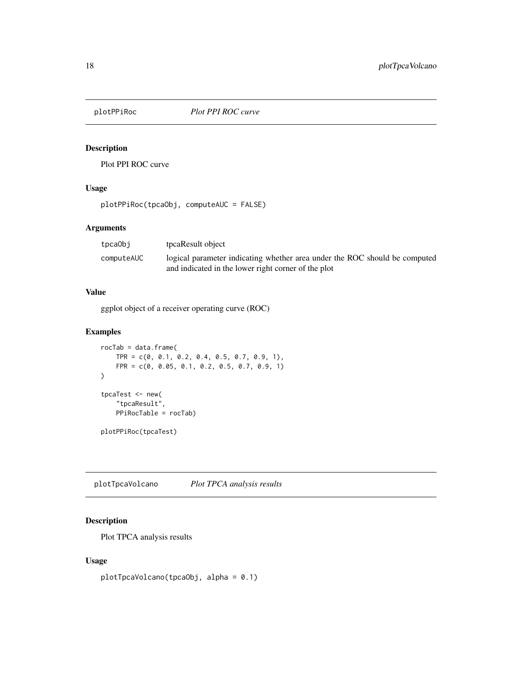<span id="page-17-0"></span>

# Description

Plot PPI ROC curve

# Usage

plotPPiRoc(tpcaObj, computeAUC = FALSE)

# Arguments

| tpcaObi    | tpcaResult object                                                                                                                 |
|------------|-----------------------------------------------------------------------------------------------------------------------------------|
| computeAUC | logical parameter indicating whether area under the ROC should be computed<br>and indicated in the lower right corner of the plot |
|            |                                                                                                                                   |

# Value

ggplot object of a receiver operating curve (ROC)

### Examples

```
rocTab = data.frame(
    TPR = c(0, 0.1, 0.2, 0.4, 0.5, 0.7, 0.9, 1),FPR = c(0, 0.05, 0.1, 0.2, 0.5, 0.7, 0.9, 1)
\mathcal{L}tpcaTest <- new(
    "tpcaResult",
    PPiRocTable = rocTab)
plotPPiRoc(tpcaTest)
```
plotTpcaVolcano *Plot TPCA analysis results*

# Description

Plot TPCA analysis results

# Usage

plotTpcaVolcano(tpcaObj, alpha = 0.1)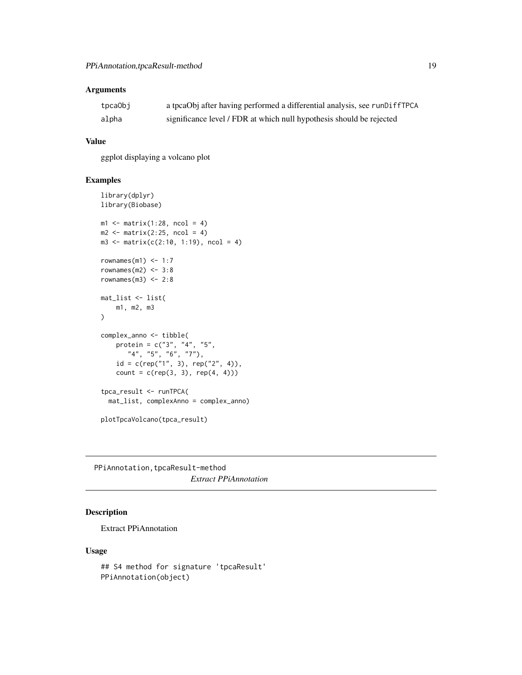# <span id="page-18-0"></span>Arguments

| tpcaObj | a tpcaObj after having performed a differential analysis, see runDiffTPCA |
|---------|---------------------------------------------------------------------------|
| alpha   | significance level / FDR at which null hypothesis should be rejected      |

## Value

ggplot displaying a volcano plot

# Examples

```
library(dplyr)
library(Biobase)
ml \leftarrow matrix(1:28, ncol = 4)m2 \leq -\text{matrix}(2:25, \text{ ncol} = 4)m3 \le - matrix(c(2:10, 1:19), ncol = 4)
rownames(m1) <-1:7rownames(m2) <-3:8rownames(m3) <-2:8mat_list <- list(
    m1, m2, m3
\lambdacomplex_anno <- tibble(
    protein = c("3", "4", "5","4", "5", "6", "7"),
    id = c(rep("1", 3), rep("2", 4)),count = c(rep(3, 3), rep(4, 4)))tpca_result <- runTPCA(
  mat_list, complexAnno = complex_anno)
plotTpcaVolcano(tpca_result)
```
PPiAnnotation, tpcaResult-method *Extract PPiAnnotation*

# Description

Extract PPiAnnotation

### Usage

```
## S4 method for signature 'tpcaResult'
PPiAnnotation(object)
```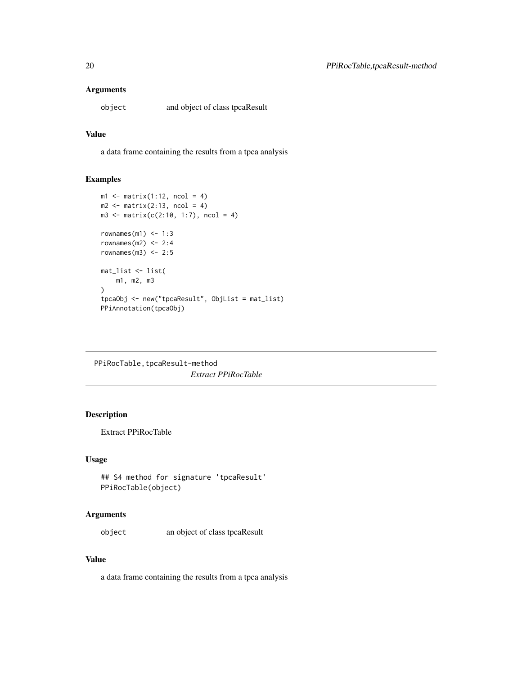# <span id="page-19-0"></span>Arguments

object and object of class tpcaResult

### Value

a data frame containing the results from a tpca analysis

### Examples

```
ml \leftarrow matrix(1:12, ncol = 4)m2 \le matrix(2:13, ncol = 4)
m3 \le - matrix(c(2:10, 1:7), ncol = 4)
rownames(m1) <-1:3rownames(m2) <-2:4rownames(m3) <-2:5mat_list <- list(
    m1, m2, m3
\mathcal{L}tpcaObj <- new("tpcaResult", ObjList = mat_list)
PPiAnnotation(tpcaObj)
```
PPiRocTable, tpcaResult-method *Extract PPiRocTable*

# Description

Extract PPiRocTable

### Usage

## S4 method for signature 'tpcaResult' PPiRocTable(object)

#### Arguments

object an object of class tpcaResult

### Value

a data frame containing the results from a tpca analysis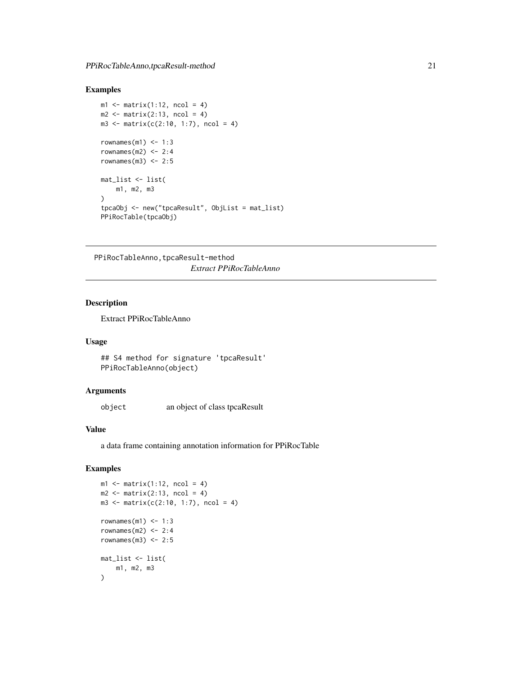# <span id="page-20-0"></span>Examples

```
m1 \leq -\text{matrix}(1:12, \text{ncol} = 4)m2 \leq -\text{matrix}(2:13, \text{ncol} = 4)m3 \le - matrix(c(2:10, 1:7), ncol = 4)
rownames(m1) <-1:3rownames(m2) <-2:4rownames(m3) <-2:5mat_list <- list(
    m1, m2, m3
\lambdatpcaObj <- new("tpcaResult", ObjList = mat_list)
PPiRocTable(tpcaObj)
```
PPiRocTableAnno, tpcaResult-method *Extract PPiRocTableAnno*

# Description

Extract PPiRocTableAnno

# Usage

```
## S4 method for signature 'tpcaResult'
PPiRocTableAnno(object)
```
#### Arguments

object an object of class tpcaResult

#### Value

a data frame containing annotation information for PPiRocTable

```
ml \leftarrow matrix(1:12, ncol = 4)m2 \leq -\text{matrix}(2:13, \text{ ncol} = 4)m3 \le - matrix(c(2:10, 1:7), ncol = 4)
rownames(m1) <-1:3rownames(m2) <-2:4rownames(m3) <-2:5mat_list <- list(
    m1, m2, m3
)
```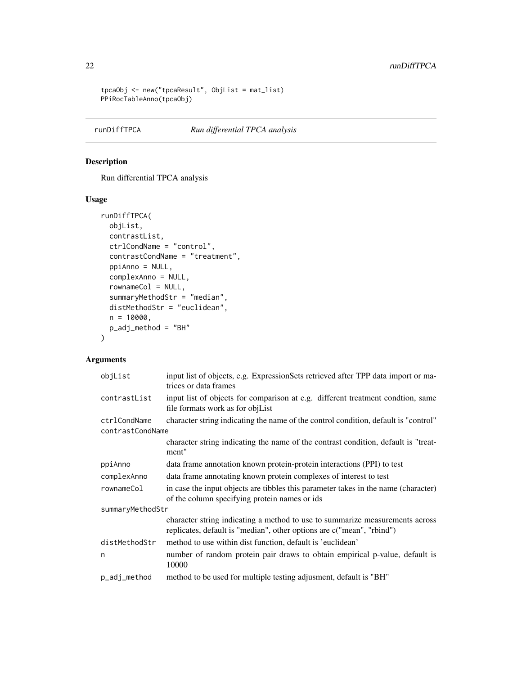```
tpcaObj <- new("tpcaResult", ObjList = mat_list)
PPiRocTableAnno(tpcaObj)
```
# runDiffTPCA *Run differential TPCA analysis*

# Description

Run differential TPCA analysis

# Usage

```
runDiffTPCA(
 objList,
  contrastList,
 ctrlCondName = "control",
  contrastCondName = "treatment",
 ppiAnno = NULL,
  complexAnno = NULL,
  rownameCol = NULL,
  summaryMethodStr = "median",
 distMethodStr = "euclidean",
 n = 10000,p_adj_method = "BH"
\mathcal{L}
```
### Arguments

| input list of objects, e.g. ExpressionSets retrieved after TPP data import or ma-<br>trices or data frames                                            |  |  |
|-------------------------------------------------------------------------------------------------------------------------------------------------------|--|--|
| input list of objects for comparison at e.g. different treatment condtion, same<br>file formats work as for objList                                   |  |  |
| character string indicating the name of the control condition, default is "control"                                                                   |  |  |
| contrastCondName                                                                                                                                      |  |  |
| character string indicating the name of the contrast condition, default is "treat-<br>ment"                                                           |  |  |
| data frame annotation known protein-protein interactions (PPI) to test                                                                                |  |  |
| data frame annotating known protein complexes of interest to test                                                                                     |  |  |
| in case the input objects are tibbles this parameter takes in the name (character)<br>of the column specifying protein names or ids                   |  |  |
| summaryMethodStr                                                                                                                                      |  |  |
| character string indicating a method to use to summarize measurements across<br>replicates, default is "median", other options are c("mean", "rbind") |  |  |
| method to use within dist function, default is 'euclidean'                                                                                            |  |  |
| number of random protein pair draws to obtain empirical p-value, default is<br>10000                                                                  |  |  |
| method to be used for multiple testing adjusment, default is "BH"                                                                                     |  |  |
|                                                                                                                                                       |  |  |

<span id="page-21-0"></span>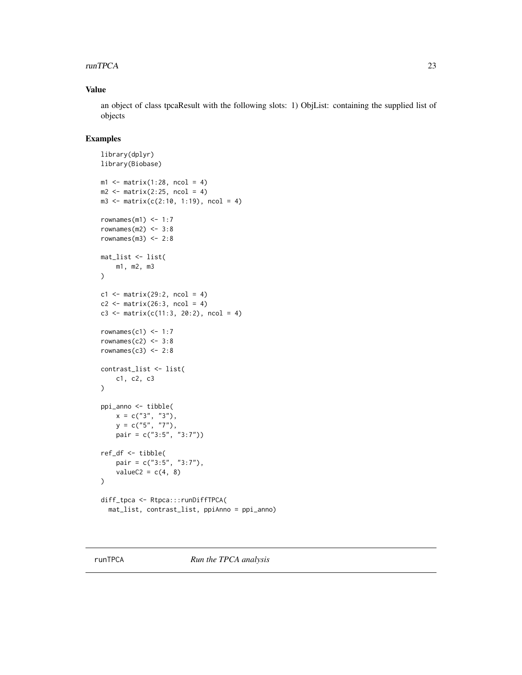#### <span id="page-22-0"></span>runTPCA 23

# Value

an object of class tpcaResult with the following slots: 1) ObjList: containing the supplied list of objects

```
library(dplyr)
library(Biobase)
ml \leftarrow matrix(1:28, ncol = 4)m2 \le matrix(2:25, ncol = 4)
m3 \le matrix(c(2:10, 1:19), ncol = 4)
rownames(m1) <-1:7rownames(m2) <-3:8rownames(m3) <-2:8mat_list <- list(
    m1, m2, m3
\mathcal{L}c1 \leftarrow matrix(29:2, ncol = 4)c2 \leq - matrix(26:3, ncol = 4)
c3 <- matrix(c(11:3, 20:2), ncol = 4)
rownames(c1) <-1:7rownames(c2) <-3:8rownames(c3) <-2:8contrast_list <- list(
    c1, c2, c3
)
ppi_anno <- tibble(
    x = c("3", "3"),
    y = c("5", "7"),
    pair = c("3:5", "3:7"))
ref_df <- tibble(
    pair = c("3:5", "3:7"),
    valueC2 = c(4, 8))
diff_tpca <- Rtpca:::runDiffTPCA(
  mat_list, contrast_list, ppiAnno = ppi_anno)
```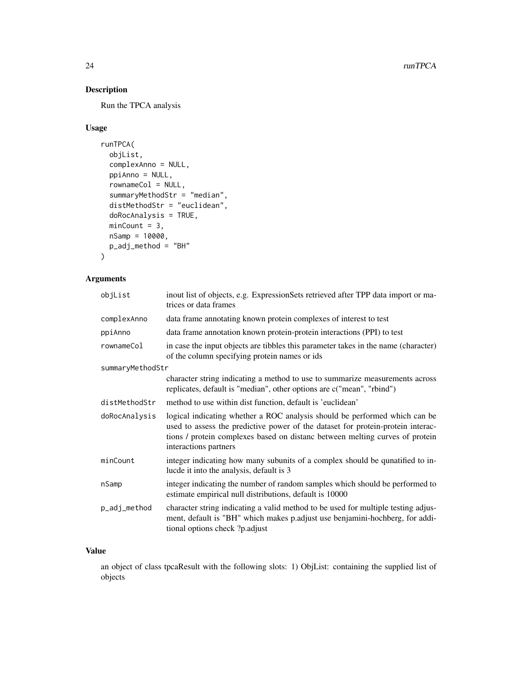# Description

Run the TPCA analysis

# Usage

```
runTPCA(
 objList,
 complexAnno = NULL,
 ppiAnno = NULL,
  rownameCol = NULL,
  summaryMethodStr = "median",
 distMethodStr = "euclidean",
  doRocAnalysis = TRUE,
 minCount = 3,
 nSamp = 10000,p_adj_method = "BH"
\mathcal{L}
```
# Arguments

| objList          | inout list of objects, e.g. ExpressionSets retrieved after TPP data import or ma-<br>trices or data frames                                                                                                                                                             |
|------------------|------------------------------------------------------------------------------------------------------------------------------------------------------------------------------------------------------------------------------------------------------------------------|
| complexAnno      | data frame annotating known protein complexes of interest to test                                                                                                                                                                                                      |
| ppiAnno          | data frame annotation known protein-protein interactions (PPI) to test                                                                                                                                                                                                 |
| rownameCol       | in case the input objects are tibbles this parameter takes in the name (character)<br>of the column specifying protein names or ids                                                                                                                                    |
| summaryMethodStr |                                                                                                                                                                                                                                                                        |
|                  | character string indicating a method to use to summarize measurements across<br>replicates, default is "median", other options are c("mean", "rbind")                                                                                                                  |
| distMethodStr    | method to use within dist function, default is 'euclidean'                                                                                                                                                                                                             |
| doRocAnalysis    | logical indicating whether a ROC analysis should be performed which can be<br>used to assess the predictive power of the dataset for protein-protein interac-<br>tions / protein complexes based on distanc between melting curves of protein<br>interactions partners |
| minCount         | integer indicating how many subunits of a complex should be qunatified to in-<br>lucde it into the analysis, default is 3                                                                                                                                              |
| nSamp            | integer indicating the number of random samples which should be performed to<br>estimate empirical null distributions, default is 10000                                                                                                                                |
| p_adj_method     | character string indicating a valid method to be used for multiple testing adjus-<br>ment, default is "BH" which makes p.adjust use benjamini-hochberg, for addi-<br>tional options check ?p.adjust                                                                    |

# Value

an object of class tpcaResult with the following slots: 1) ObjList: containing the supplied list of objects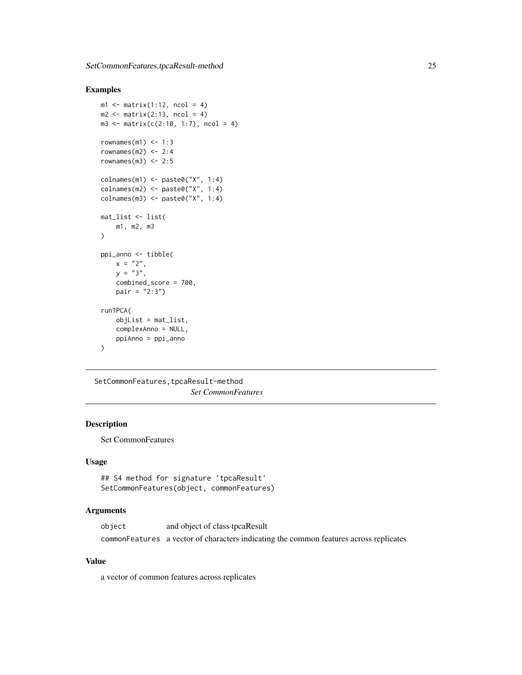# <span id="page-24-0"></span>Examples

```
m1 \leq -\text{matrix}(1:12, \text{ncol} = 4)m2 \leq -\text{matrix}(2:13, \text{ncol} = 4)m3 \le - matrix(c(2:10, 1:7), ncol = 4)
rownames(m1) <-1:3rownames(m2) <-2:4rownames(m3) <-2:5\text{colnames}(m1) \leq \text{past} \otimes ("X", 1:4)colnames(m2) <- paste0("X", 1:4)
colnames(m3) <- paste0("X", 1:4)
mat_list <- list(
    m1, m2, m3
)
ppi_anno <- tibble(
    x = "2",y = "3",combined_score = 700,
    pair = "2:3")runTPCA(
    objList = mat_list,
    complexAnno = NULL,
    ppiAnno = ppi_anno
\mathcal{L}
```
SetCommonFeatures, tpcaResult-method *Set CommonFeatures*

# Description

Set CommonFeatures

### Usage

```
## S4 method for signature 'tpcaResult'
SetCommonFeatures(object, commonFeatures)
```
# Arguments

| object | and object of class tpcaResult                                                         |
|--------|----------------------------------------------------------------------------------------|
|        | commonFeatures a vector of characters indicating the common features across replicates |

# Value

a vector of common features across replicates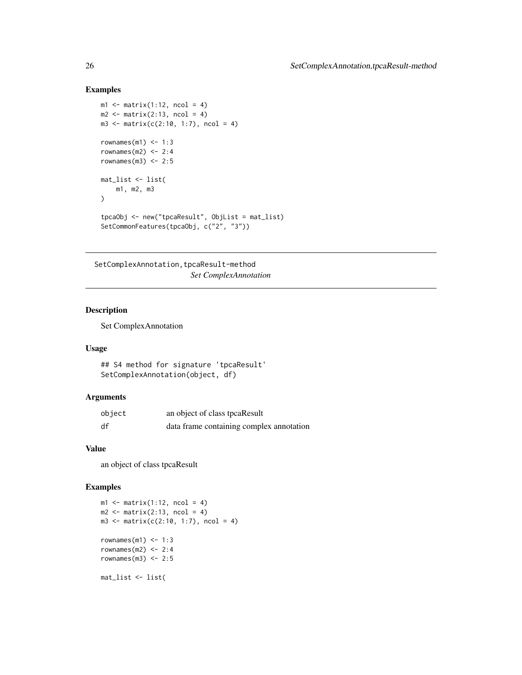### Examples

```
m1 \leq -\text{matrix}(1:12, \text{ncol} = 4)m2 \leq -\text{matrix}(2:13, \text{ncol} = 4)m3 \le matrix(c(2:10, 1:7), ncol = 4)
rownames(m1) <-1:3rownames(m2) <-2:4rownames(m3) <-2:5mat_list <- list(
    m1, m2, m3
\lambdatpcaObj <- new("tpcaResult", ObjList = mat_list)
SetCommonFeatures(tpcaObj, c("2", "3"))
```
SetComplexAnnotation,tpcaResult-method

*Set ComplexAnnotation*

# Description

Set ComplexAnnotation

### Usage

```
## S4 method for signature 'tpcaResult'
SetComplexAnnotation(object, df)
```
#### Arguments

| object | an object of class tpcaResult            |
|--------|------------------------------------------|
| df     | data frame containing complex annotation |

### Value

an object of class tpcaResult

```
ml \leftarrow matrix(1:12, ncol = 4)m2 \leq -\text{matrix}(2:13, \text{ ncol} = 4)m3 \le - matrix(c(2:10, 1:7), ncol = 4)
rownames(m1) <-1:3rownames(m2) <-2:4rownames(m3) <-2:5mat_list <- list(
```
<span id="page-25-0"></span>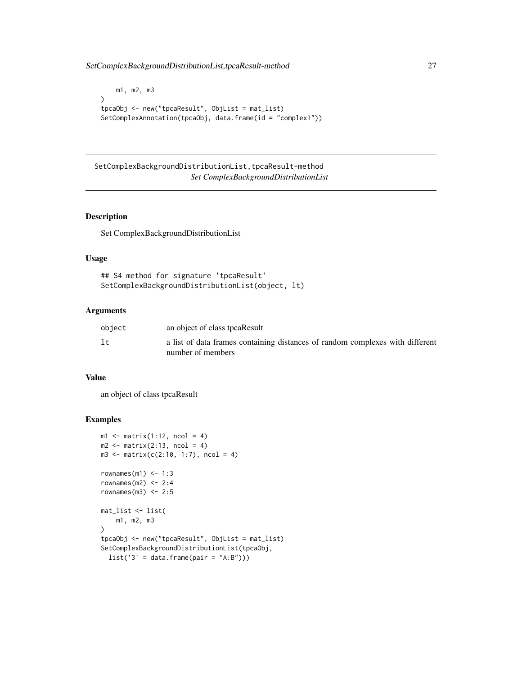<span id="page-26-0"></span>SetComplexBackgroundDistributionList,tpcaResult-method 27

```
m1, m2, m3
)
tpcaObj <- new("tpcaResult", ObjList = mat_list)
SetComplexAnnotation(tpcaObj, data.frame(id = "complex1"))
```
SetComplexBackgroundDistributionList,tpcaResult-method *Set ComplexBackgroundDistributionList*

### Description

Set ComplexBackgroundDistributionList

### Usage

```
## S4 method for signature 'tpcaResult'
SetComplexBackgroundDistributionList(object, lt)
```
# Arguments

| object | an object of class tpcaResult                                                                      |
|--------|----------------------------------------------------------------------------------------------------|
| 1t     | a list of data frames containing distances of random complexes with different<br>number of members |

### Value

an object of class tpcaResult

```
ml \leftarrow matrix(1:12, ncol = 4)m2 \leq -\text{matrix}(2:13, \text{ ncol} = 4)m3 \le - matrix(c(2:10, 1:7), ncol = 4)
rownames(m1) <-1:3rownames(m2) <-2:4rownames(m3) <-2:5mat_list <- list(
    m1, m2, m3
\mathcal{L}tpcaObj <- new("tpcaResult", ObjList = mat_list)
SetComplexBackgroundDistributionList(tpcaObj,
  list('3' = data-frame(pair = "A:B")))
```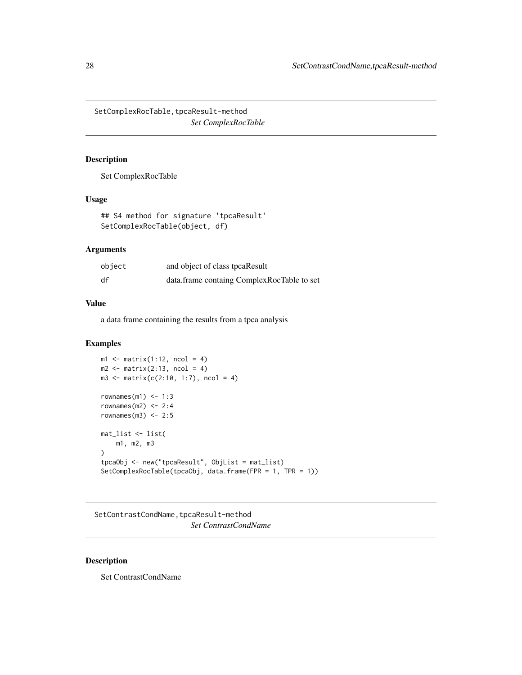<span id="page-27-0"></span>SetComplexRocTable, tpcaResult-method *Set ComplexRocTable*

# Description

Set ComplexRocTable

### Usage

```
## S4 method for signature 'tpcaResult'
SetComplexRocTable(object, df)
```
# Arguments

| object | and object of class tpcaResult             |
|--------|--------------------------------------------|
| df     | data.frame containg ComplexRocTable to set |

#### Value

a data frame containing the results from a tpca analysis

#### Examples

```
ml \leftarrow matrix(1:12, ncol = 4)m2 \leq -\text{matrix}(2:13, \text{ ncol} = 4)m3 \le - matrix(c(2:10, 1:7), ncol = 4)
rownames(m1) <-1:3rownames(m2) <-2:4rownames(m3) <-2:5mat_list <- list(
    m1, m2, m3
\lambdatpcaObj <- new("tpcaResult", ObjList = mat_list)
SetComplexRocTable(tpcaObj, data.frame(FPR = 1, TPR = 1))
```
SetContrastCondName, tpcaResult-method *Set ContrastCondName*

# Description

Set ContrastCondName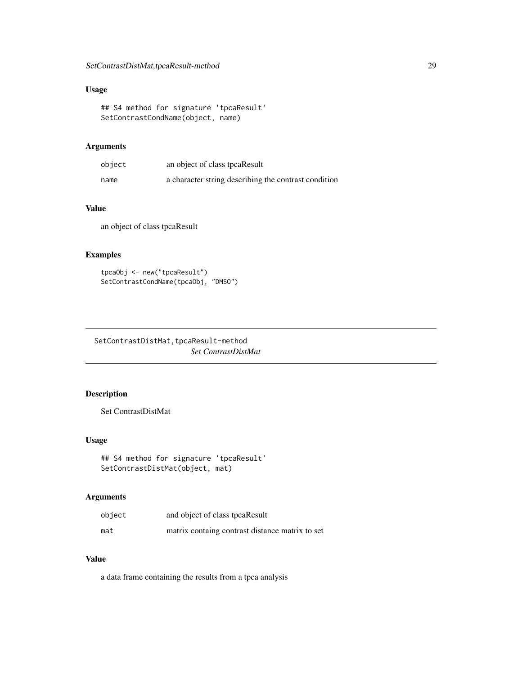# <span id="page-28-0"></span>Usage

```
## S4 method for signature 'tpcaResult'
SetContrastCondName(object, name)
```
### Arguments

| object | an object of class tpcaResult                        |
|--------|------------------------------------------------------|
| name   | a character string describing the contrast condition |

# Value

an object of class tpcaResult

# Examples

```
tpcaObj <- new("tpcaResult")
SetContrastCondName(tpcaObj, "DMSO")
```
SetContrastDistMat, tpcaResult-method *Set ContrastDistMat*

# Description

Set ContrastDistMat

### Usage

```
## S4 method for signature 'tpcaResult'
SetContrastDistMat(object, mat)
```
### Arguments

| object | and object of class tpcaResult                  |
|--------|-------------------------------------------------|
| mat    | matrix containg contrast distance matrix to set |

# Value

a data frame containing the results from a tpca analysis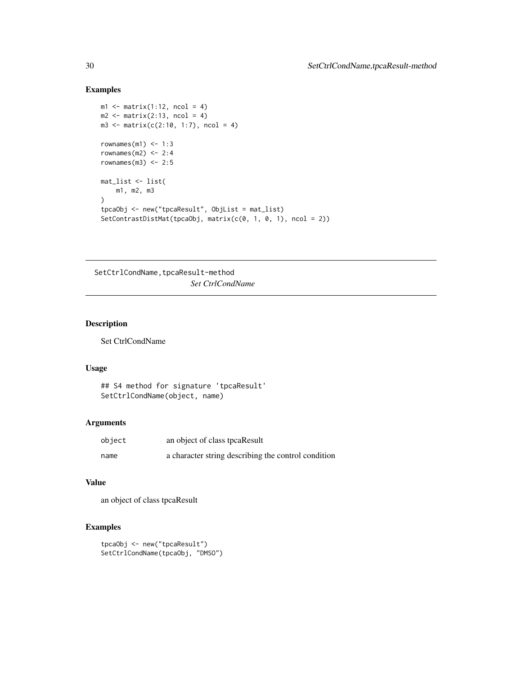# Examples

```
ml \leftarrow matrix(1:12, ncol = 4)m2 \leq -\text{matrix}(2:13, \text{ ncol} = 4)m3 \le matrix(c(2:10, 1:7), ncol = 4)
rownames(m1) <-1:3rownames(m2) <-2:4rownames(m3) <-2:5mat_list <- list(
    m1, m2, m3
\sumtpcaObj <- new("tpcaResult", ObjList = mat_list)
SetContrastDistMat(tpcaObj, matrix(c(0, 1, 0, 1), ncol = 2))
```
SetCtrlCondName, tpcaResult-method *Set CtrlCondName*

# Description

Set CtrlCondName

### Usage

```
## S4 method for signature 'tpcaResult'
SetCtrlCondName(object, name)
```
### Arguments

| object | an object of class tpcaResult                       |
|--------|-----------------------------------------------------|
| name   | a character string describing the control condition |

### Value

an object of class tpcaResult

```
tpcaObj <- new("tpcaResult")
SetCtrlCondName(tpcaObj, "DMSO")
```
<span id="page-29-0"></span>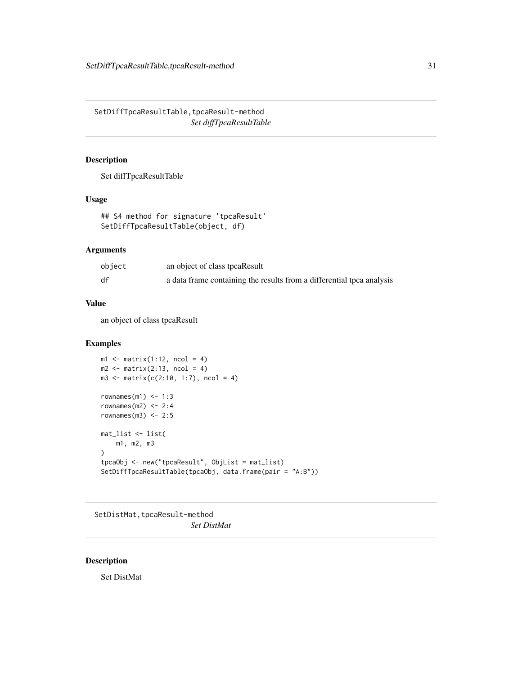<span id="page-30-0"></span>SetDiffTpcaResultTable, tpcaResult-method *Set diffTpcaResultTable*

# Description

Set diffTpcaResultTable

### Usage

```
## S4 method for signature 'tpcaResult'
SetDiffTpcaResultTable(object, df)
```
### Arguments

| object | an object of class tpcaResult                                         |
|--------|-----------------------------------------------------------------------|
| df     | a data frame containing the results from a differential tpca analysis |

#### Value

an object of class tpcaResult

### Examples

```
ml \leftarrow matrix(1:12, ncol = 4)m2 \leq -\text{matrix}(2:13, \text{ ncol} = 4)m3 \le - matrix(c(2:10, 1:7), ncol = 4)
rownames(m1) <-1:3rownames(m2) <-2:4rownames(m3) <-2:5mat_list <- list(
    m1, m2, m3
\lambdatpcaObj <- new("tpcaResult", ObjList = mat_list)
SetDiffTpcaResultTable(tpcaObj, data.frame(pair = "A:B"))
```
SetDistMat, tpcaResult-method *Set DistMat*

# Description

Set DistMat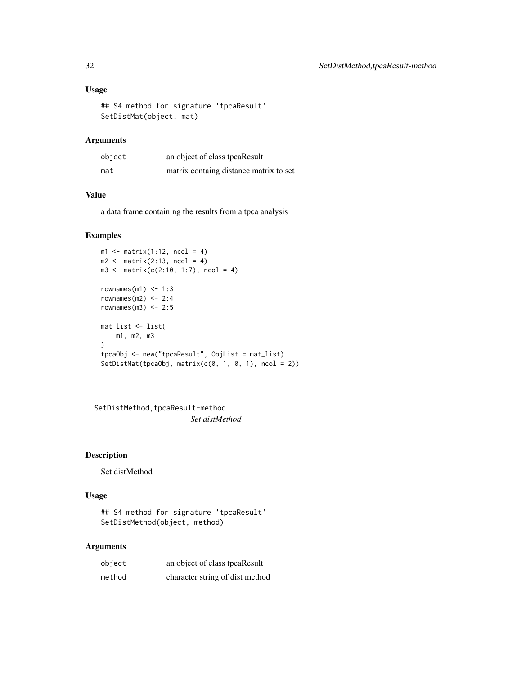# <span id="page-31-0"></span>Usage

```
## S4 method for signature 'tpcaResult'
SetDistMat(object, mat)
```
# Arguments

| object | an object of class tpcaResult          |
|--------|----------------------------------------|
| mat    | matrix containg distance matrix to set |

# Value

a data frame containing the results from a tpca analysis

### Examples

```
ml \leftarrow matrix(1:12, ncol = 4)m2 \leq -\text{matrix}(2:13, \text{ ncol} = 4)m3 \le - matrix(c(2:10, 1:7), ncol = 4)
rownames(m1) <-1:3rownames(m2) <-2:4rownames(m3) <-2:5mat_list <- list(
    m1, m2, m3
\lambdatpcaObj <- new("tpcaResult", ObjList = mat_list)
SetDistMat(tpcaObj, matrix(c(0, 1, 0, 1), ncol = 2))
```
SetDistMethod, tpcaResult-method *Set distMethod*

# Description

Set distMethod

### Usage

## S4 method for signature 'tpcaResult' SetDistMethod(object, method)

#### Arguments

| object | an object of class tpcaResult   |
|--------|---------------------------------|
| method | character string of dist method |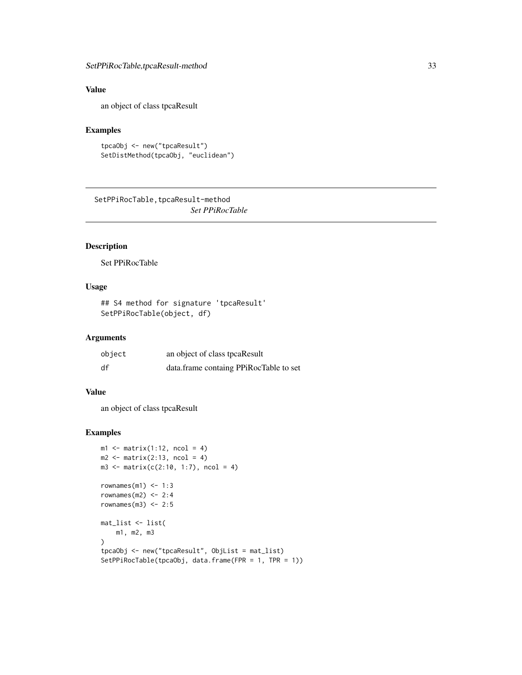# <span id="page-32-0"></span>Value

an object of class tpcaResult

### Examples

```
tpcaObj <- new("tpcaResult")
SetDistMethod(tpcaObj, "euclidean")
```
SetPPiRocTable, tpcaResult-method *Set PPiRocTable*

# Description

Set PPiRocTable

# Usage

```
## S4 method for signature 'tpcaResult'
SetPPiRocTable(object, df)
```
# Arguments

| object | an object of class tpcaResult          |
|--------|----------------------------------------|
| df     | data.frame containg PPiRocTable to set |

# Value

an object of class tpcaResult

```
ml \leq matrix(1:12, ncol = 4)m2 \le matrix(2:13, ncol = 4)
m3 \le - matrix(c(2:10, 1:7), ncol = 4)
rownames(m1) <-1:3rownames(m2) <-2:4rownames(m3) <-2:5mat_list <- list(
    m1, m2, m3
\lambdatpcaObj <- new("tpcaResult", ObjList = mat_list)
SetPPiRocTable(tpcaObj, data.frame(FPR = 1, TPR = 1))
```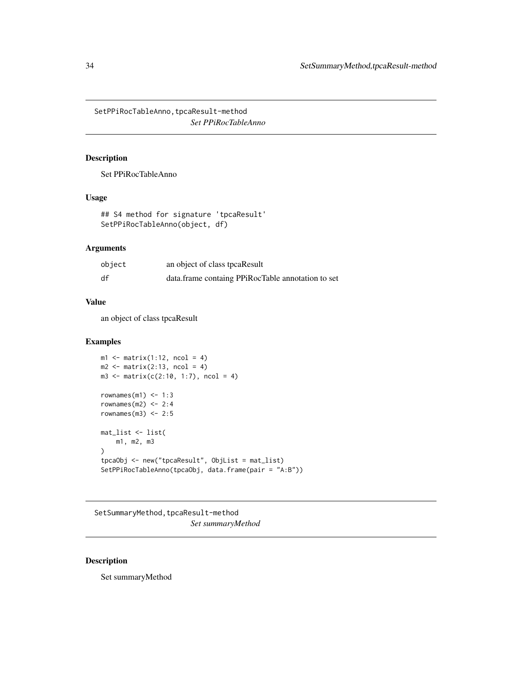<span id="page-33-0"></span>SetPPiRocTableAnno, tpcaResult-method *Set PPiRocTableAnno*

# Description

Set PPiRocTableAnno

# Usage

## S4 method for signature 'tpcaResult' SetPPiRocTableAnno(object, df)

# Arguments

| object | an object of class tpcaResult                     |
|--------|---------------------------------------------------|
| df     | data.frame containg PPiRocTable annotation to set |

### Value

an object of class tpcaResult

# Examples

```
ml \leftarrow matrix(1:12, ncol = 4)m2 \leq -\text{matrix}(2:13, \text{ ncol} = 4)m3 \le matrix(c(2:10, 1:7), ncol = 4)
rownames(m1) <-1:3rownames(m2) <-2:4rownames(m3) <-2:5mat_list <- list(
    m1, m2, m3
)
tpcaObj <- new("tpcaResult", ObjList = mat_list)
SetPPiRocTableAnno(tpcaObj, data.frame(pair = "A:B"))
```
SetSummaryMethod, tpcaResult-method *Set summaryMethod*

# Description

Set summaryMethod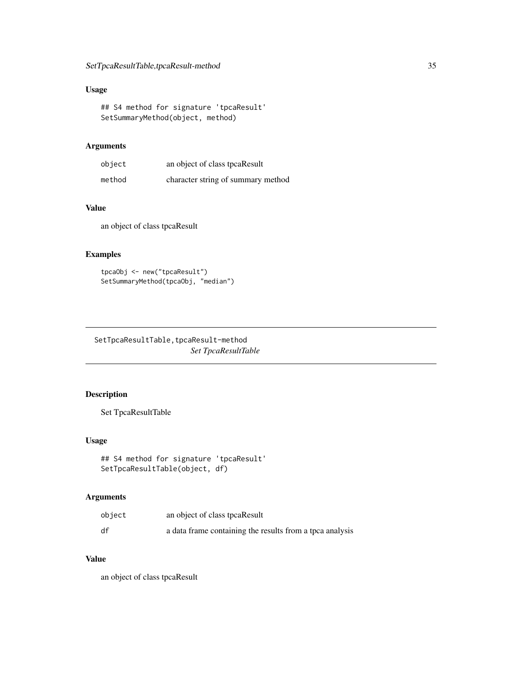# <span id="page-34-0"></span>Usage

## S4 method for signature 'tpcaResult' SetSummaryMethod(object, method)

### Arguments

| object | an object of class tpcaResult      |
|--------|------------------------------------|
| method | character string of summary method |

# Value

an object of class tpcaResult

# Examples

```
tpcaObj <- new("tpcaResult")
SetSummaryMethod(tpcaObj, "median")
```
SetTpcaResultTable, tpcaResult-method *Set TpcaResultTable*

# Description

Set TpcaResultTable

### Usage

```
## S4 method for signature 'tpcaResult'
SetTpcaResultTable(object, df)
```
### Arguments

| object | an object of class tpcaResult                            |
|--------|----------------------------------------------------------|
| df     | a data frame containing the results from a tpca analysis |

# Value

an object of class tpcaResult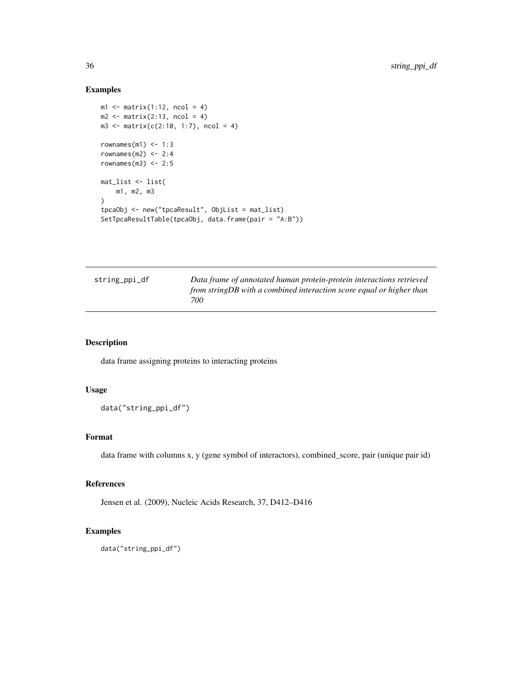# Examples

```
ml \leftarrow matrix(1:12, ncol = 4)m2 \leq -\text{matrix}(2:13, \text{ ncol} = 4)m3 \le matrix(c(2:10, 1:7), ncol = 4)
rownames(m1) <-1:3rownames(m2) <-2:4rownames(m3) <-2:5mat_list <- list(
    m1, m2, m3
\lambdatpcaObj <- new("tpcaResult", ObjList = mat_list)
SetTpcaResultTable(tpcaObj, data.frame(pair = "A:B"))
```

| string_ppi_df | Data frame of annotated human protein-protein interactions retrieved  |
|---------------|-----------------------------------------------------------------------|
|               | from string DB with a combined interaction score equal or higher than |
|               | 700                                                                   |

# Description

data frame assigning proteins to interacting proteins

# Usage

```
data("string_ppi_df")
```
# Format

data frame with columns x, y (gene symbol of interactors), combined\_score, pair (unique pair id)

### References

Jensen et al. (2009), Nucleic Acids Research, 37, D412–D416

### Examples

data("string\_ppi\_df")

<span id="page-35-0"></span>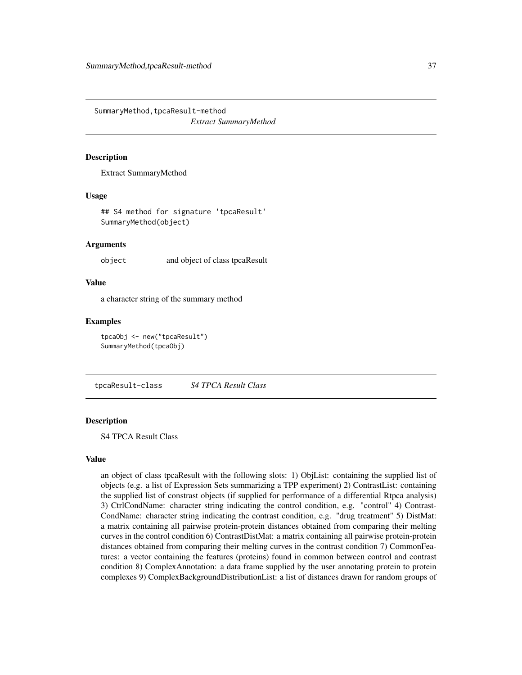<span id="page-36-0"></span>SummaryMethod, tpcaResult-method *Extract SummaryMethod*

#### **Description**

Extract SummaryMethod

### Usage

## S4 method for signature 'tpcaResult' SummaryMethod(object)

### Arguments

object and object of class tpcaResult

#### Value

a character string of the summary method

### Examples

tpcaObj <- new("tpcaResult") SummaryMethod(tpcaObj)

tpcaResult-class *S4 TPCA Result Class*

### Description

S4 TPCA Result Class

### Value

an object of class tpcaResult with the following slots: 1) ObjList: containing the supplied list of objects (e.g. a list of Expression Sets summarizing a TPP experiment) 2) ContrastList: containing the supplied list of constrast objects (if supplied for performance of a differential Rtpca analysis) 3) CtrlCondName: character string indicating the control condition, e.g. "control" 4) Contrast-CondName: character string indicating the contrast condition, e.g. "drug treatment" 5) DistMat: a matrix containing all pairwise protein-protein distances obtained from comparing their melting curves in the control condition 6) ContrastDistMat: a matrix containing all pairwise protein-protein distances obtained from comparing their melting curves in the contrast condition 7) CommonFeatures: a vector containing the features (proteins) found in common between control and contrast condition 8) ComplexAnnotation: a data frame supplied by the user annotating protein to protein complexes 9) ComplexBackgroundDistributionList: a list of distances drawn for random groups of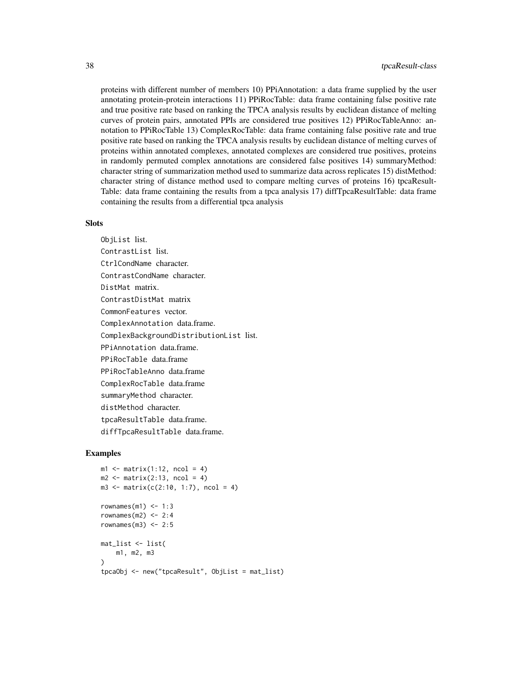proteins with different number of members 10) PPiAnnotation: a data frame supplied by the user annotating protein-protein interactions 11) PPiRocTable: data frame containing false positive rate and true positive rate based on ranking the TPCA analysis results by euclidean distance of melting curves of protein pairs, annotated PPIs are considered true positives 12) PPiRocTableAnno: annotation to PPiRocTable 13) ComplexRocTable: data frame containing false positive rate and true positive rate based on ranking the TPCA analysis results by euclidean distance of melting curves of proteins within annotated complexes, annotated complexes are considered true positives, proteins in randomly permuted complex annotations are considered false positives 14) summaryMethod: character string of summarization method used to summarize data across replicates 15) distMethod: character string of distance method used to compare melting curves of proteins 16) tpcaResult-Table: data frame containing the results from a tpca analysis 17) diffTpcaResultTable: data frame containing the results from a differential tpca analysis

#### **Slots**

ObjList list. ContrastList list. CtrlCondName character. ContrastCondName character. DistMat matrix. ContrastDistMat matrix CommonFeatures vector. ComplexAnnotation data.frame. ComplexBackgroundDistributionList list. PPiAnnotation data.frame. PPiRocTable data.frame PPiRocTableAnno data.frame ComplexRocTable data.frame summaryMethod character. distMethod character. tpcaResultTable data.frame. diffTpcaResultTable data.frame.

```
ml \leftarrow matrix(1:12, ncol = 4)m2 \leq -\text{matrix}(2:13, \text{ ncol} = 4)m3 \le - matrix(c(2:10, 1:7), ncol = 4)
rownames(m1) <-1:3rownames(m2) <-2:4rownames(m3) <-2:5mat_list <- list(
    m1, m2, m3
\lambdatpcaObj <- new("tpcaResult", ObjList = mat_list)
```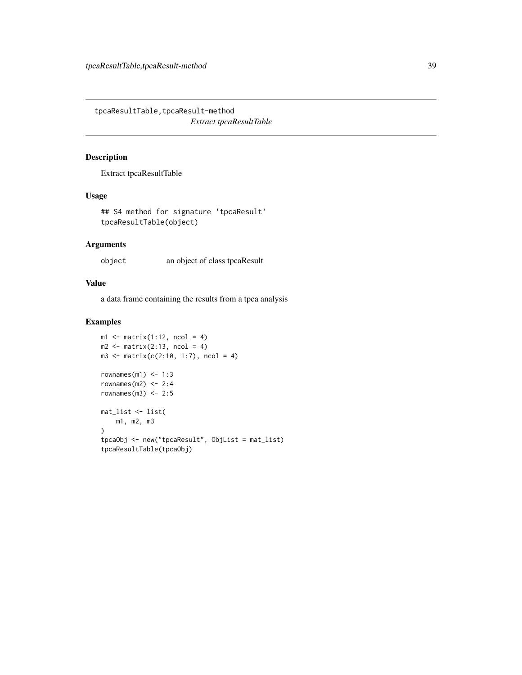<span id="page-38-0"></span>tpcaResultTable,tpcaResult-method *Extract tpcaResultTable*

# Description

Extract tpcaResultTable

# Usage

```
## S4 method for signature 'tpcaResult'
tpcaResultTable(object)
```
# Arguments

object an object of class tpcaResult

### Value

a data frame containing the results from a tpca analysis

```
ml \leq matrix(1:12, ncol = 4)m2 \leq -\text{matrix}(2:13, \text{ ncol} = 4)m3 \le - matrix(c(2:10, 1:7), ncol = 4)
rownames(m1) <-1:3rownames(m2) <-2:4rownames(m3) <-2:5mat_list <- list(
    m1, m2, m3
)
tpcaObj <- new("tpcaResult", ObjList = mat_list)
tpcaResultTable(tpcaObj)
```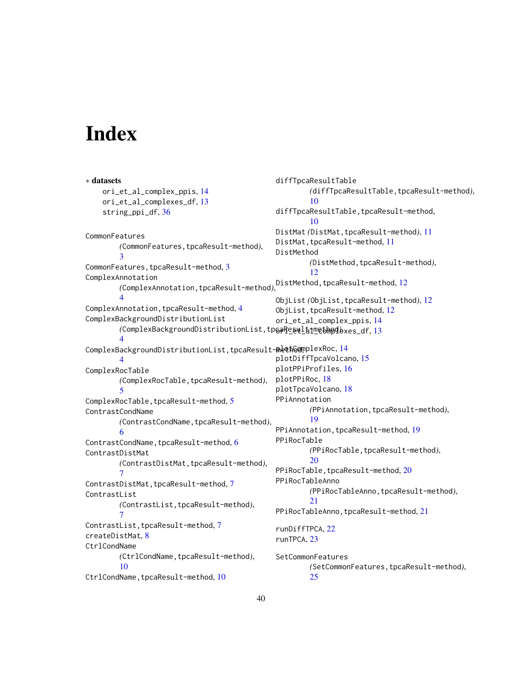# <span id="page-39-0"></span>**Index**

∗ datasets ori\_et\_al\_complex\_ppis, [14](#page-13-0) ori\_et\_al\_complexes\_df, [13](#page-12-0) string\_ppi\_df, [36](#page-35-0) CommonFeatures *(*CommonFeatures,tpcaResult-method*)*, [3](#page-2-0) CommonFeatures, tpcaResult-method, [3](#page-2-0) ComplexAnnotation *(*ComplexAnnotation,tpcaResult-method*)*, DistMethod,tpcaResult-method, [12](#page-11-0) [4](#page-3-0) ComplexAnnotation, tpcaResult-method, [4](#page-3-0) ComplexBackgroundDistributionList *(*ComplexBackgroundDistributionList,tpcaResult-method*)*, ori\_et\_al\_complexes\_df, [13](#page-12-0) [4](#page-3-0) ComplexBackgroundDistributionList,tpcaResult**-methGom**plexRoc,[14](#page-13-0) [4](#page-3-0) ComplexRocTable *(*ComplexRocTable,tpcaResult-method*)*, [5](#page-4-0) ComplexRocTable, tpcaResult-method, [5](#page-4-0) ContrastCondName *(*ContrastCondName,tpcaResult-method*)*, [6](#page-5-0) ContrastCondName, tpcaResult-method, [6](#page-5-0) ContrastDistMat *(*ContrastDistMat,tpcaResult-method*)*, [7](#page-6-0) ContrastDistMat,tpcaResult-method, [7](#page-6-0) ContrastList *(*ContrastList,tpcaResult-method*)*, [7](#page-6-0) ContrastList, tpcaResult-method, [7](#page-6-0) createDistMat, [8](#page-7-0) CtrlCondName *(*CtrlCondName,tpcaResult-method*)*, [10](#page-9-0) CtrlCondName, tpcaResult-method, [10](#page-9-0) diffTpcaResultTable *(*diffTpcaResultTable,tpcaResult-method*)*, [10](#page-9-0) diffTpcaResultTable, tpcaResult-method, [10](#page-9-0) DistMat *(*DistMat,tpcaResult-method*)*, [11](#page-10-0) DistMat, tpcaResult-method, [11](#page-10-0) DistMethod *(*DistMethod,tpcaResult-method*)*, [12](#page-11-0) ObjList *(*ObjList,tpcaResult-method*)*, [12](#page-11-0) ObjList,tpcaResult-method, [12](#page-11-0) ori\_et\_al\_complex\_ppis, [14](#page-13-0) plotDiffTpcaVolcano, [15](#page-14-0) plotPPiProfiles, [16](#page-15-0) plotPPiRoc, [18](#page-17-0) plotTpcaVolcano, [18](#page-17-0) PPiAnnotation *(*PPiAnnotation,tpcaResult-method*)*, [19](#page-18-0) PPiAnnotation,tpcaResult-method, [19](#page-18-0) PPiRocTable *(*PPiRocTable,tpcaResult-method*)*, [20](#page-19-0) PPiRocTable, tpcaResult-method, [20](#page-19-0) PPiRocTableAnno *(*PPiRocTableAnno,tpcaResult-method*)*, [21](#page-20-0) PPiRocTableAnno, tpcaResult-method, [21](#page-20-0) runDiffTPCA, [22](#page-21-0) runTPCA, [23](#page-22-0) **SetCommonFeatures** *(*SetCommonFeatures,tpcaResult-method*)*, [25](#page-24-0)